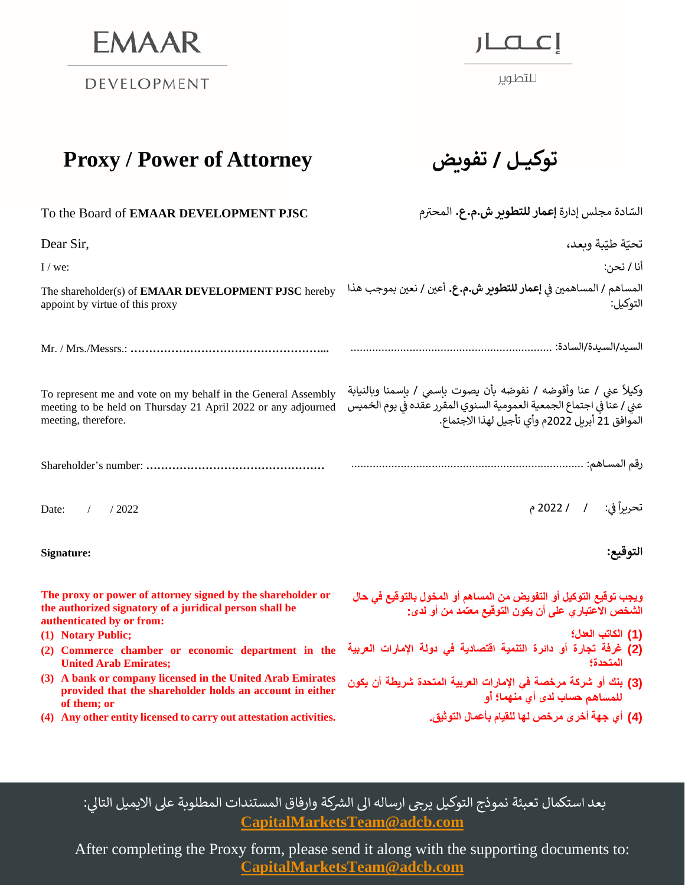**EMAAR** 

DEVELOPMENT

إعصار

للتطوير

## **Proxy** / **Power of Attorney**

| <b>ـهکيـل / تفويض</b> |  |
|-----------------------|--|
|-----------------------|--|

| To the Board of EMAAR DEVELOPMENT PJSC                                                                                                                                    | السّادة مجلس إدارة <b>إعمار للتطوير ش.م. ع.</b> المحترم                                                                                                                                         |
|---------------------------------------------------------------------------------------------------------------------------------------------------------------------------|-------------------------------------------------------------------------------------------------------------------------------------------------------------------------------------------------|
| Dear Sir,                                                                                                                                                                 | تحيّة طيّبة وبعد،                                                                                                                                                                               |
| $I$ / we:                                                                                                                                                                 | أنا / نحن:                                                                                                                                                                                      |
| The shareholder(s) of <b>EMAAR DEVELOPMENT PJSC</b> hereby<br>appoint by virtue of this proxy                                                                             | المساهم / المساهمين في إ <b>عمار للتطوير ش.م.ع.</b> أعين / نعين بموجب هذا<br>التوكيل:                                                                                                           |
|                                                                                                                                                                           |                                                                                                                                                                                                 |
| To represent me and vote on my behalf in the General Assembly<br>meeting to be held on Thursday 21 April 2022 or any adjourned<br>meeting, therefore.                     | وكيلاً عني / عنا وأفوضه / نفوضه بأن يصوت بإسمى / بإسمنا وبالنيابة<br>عني / عناً في اجتماع الجمعية العمومية السنوي المقرر عـقده في يوم الخميس<br>الموافق 21 أبريل 2022م وأي تأجيل لهذا الاجتماع. |
|                                                                                                                                                                           |                                                                                                                                                                                                 |
| Date:<br>/2022                                                                                                                                                            | تحريراً في:        /                   2022 م                                                                                                                                                   |
| Signature:                                                                                                                                                                | التوقيع:                                                                                                                                                                                        |
| The proxy or power of attorney signed by the shareholder or<br>the authorized signatory of a juridical person shall be<br>authenticated by or from:<br>(1) Notary Public; | ويجب توقيع التوكيل أو التفويض من المساهم أو المخول بالتوقيع في حال<br>الشَّخص الاعتبار ي على أن يكون التوقيع معتمد من أو لدى:<br>(1) الكاتب العدل؛                                              |
| (2) Commerce chamber or economic department in the<br><b>United Arab Emirates;</b>                                                                                        | .<br>(2) غرفة تجارة أو دائرة التنمية اقتصادية في دولة الإمارات العربية<br>المتحدة؟                                                                                                              |
| (3) A bank or company licensed in the United Arab Emirates<br>provided that the shareholder holds an account in either<br>of them; or                                     | (3) بنك أو شركة مرخصة في الإمارات العربية المتحدة شريطة أن يكون<br>للمساهم حساب لدى أي منهما؛ أو                                                                                                |
| (4) Any other entity licensed to carry out attestation activities.                                                                                                        | (4) أي جهة أخرى مرخص لها للقيام بأعمال التوثيق.                                                                                                                                                 |

### بعد استكمال تعبئة نموذج التوكيل يرجي ارساله الى الشركة وارفاق المستندات المطلوبة على الايميل التالي: **[CapitalMarketsTeam@adcb.com](mailto:CapitalMarketsTeam@adcb.com)**

After completing the Proxy form, please send it along with the supporting documents to: **[CapitalMarketsTeam@adcb.com](mailto:CapitalMarketsTeam@adcb.com)**